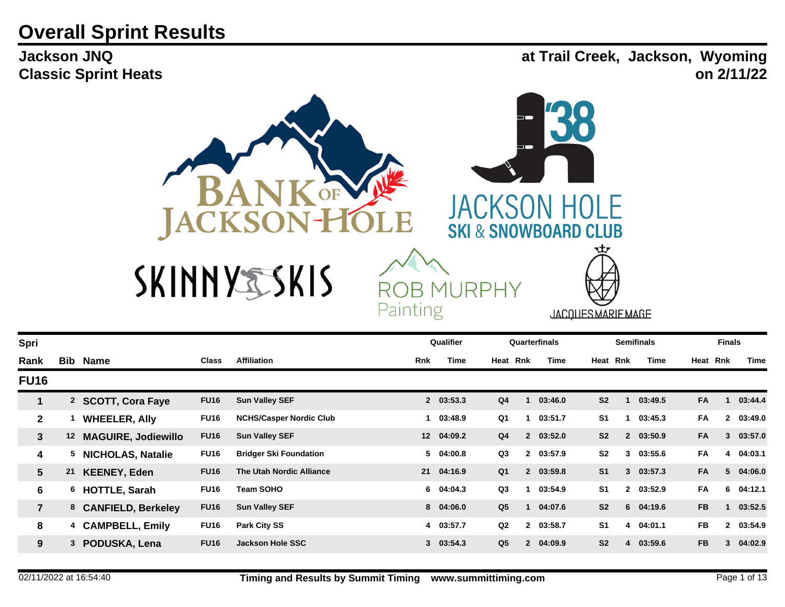## **Overall Sprint Results**

**Jackson JNQ Classic Sprint Heats** **at Trail Creek, Jackson, Wyoming on 2/11/22**



| Spri                    |     |                            |              |                                |            | Qualifier   |                |              | Quarterfinals |                | <b>Semifinals</b> |           | <b>Finals</b> |           |
|-------------------------|-----|----------------------------|--------------|--------------------------------|------------|-------------|----------------|--------------|---------------|----------------|-------------------|-----------|---------------|-----------|
| Rank                    | Bib | Name                       | <b>Class</b> | <b>Affiliation</b>             | <b>Rnk</b> | <b>Time</b> | Heat Rnk       |              | Time          | Heat Rnk       | Time              | Heat Rnk  |               | Time      |
| <b>FU16</b>             |     |                            |              |                                |            |             |                |              |               |                |                   |           |               |           |
|                         |     | 2 SCOTT, Cora Faye         | <b>FU16</b>  | <b>Sun Valley SEF</b>          |            | 2 03:53.3   | Q <sub>4</sub> |              | 03:46.0       | S <sub>2</sub> | 03:49.5           | FA        |               | 03:44.4   |
| $\mathbf{2}$            |     | <b>WHEELER, Ally</b>       | <b>FU16</b>  | <b>NCHS/Casper Nordic Club</b> |            | 1 03:48.9   | Q1             |              | 03:51.7       | S <sub>1</sub> | 03:45.3           | FA        | $\mathbf{2}$  | 03:49.0   |
| $\mathbf{3}$            | 12  | <b>MAGUIRE, Jodiewillo</b> | <b>FU16</b>  | <b>Sun Valley SEF</b>          |            | 12 04:09.2  | Q <sub>4</sub> |              | 2 03:52.0     | S <sub>2</sub> | 2 03:50.9         | <b>FA</b> | 3             | 03:57.0   |
| 4                       | 5   | <b>NICHOLAS, Natalie</b>   | <b>FU16</b>  | <b>Bridger Ski Foundation</b>  |            | 5 04:00.8   | Q3             |              | 2 03:57.9     | S <sub>2</sub> | 3 03:55.6         | <b>FA</b> |               | 4 04:03.1 |
| 5 <sup>5</sup>          | 21  | <b>KEENEY, Eden</b>        | <b>FU16</b>  | The Utah Nordic Alliance       |            | 21 04:16.9  | Q <sub>1</sub> |              | 2 03:59.8     | S <sub>1</sub> | 303:57.3          | FA        |               | 5 04:06.0 |
| 6                       |     | 6 HOTTLE, Sarah            | <b>FU16</b>  | <b>Team SOHO</b>               |            | 6 04:04.3   | Q <sub>3</sub> |              | 03:54.9       | S <sub>1</sub> | 2 03:52.9         | FA        | 6             | 04:12.1   |
| $\overline{\mathbf{7}}$ |     | 8 CANFIELD, Berkeley       | <b>FU16</b>  | <b>Sun Valley SEF</b>          |            | 8 04:06.0   | Q <sub>5</sub> |              | 04:07.6       | S <sub>2</sub> | $6$ 04:19.6       | <b>FB</b> |               | 03:52.5   |
| 8                       | 4   | <b>CAMPBELL, Emily</b>     | <b>FU16</b>  | <b>Park City SS</b>            |            | 4 03:57.7   | Q2             |              | 2 03:58.7     | S <sub>1</sub> | 4 04:01.1         | <b>FB</b> |               | 2 03:54.9 |
| 9                       | 3   | PODUSKA, Lena              | <b>FU16</b>  | <b>Jackson Hole SSC</b>        |            | 303:54.3    | Q <sub>5</sub> | $\mathbf{2}$ | 04:09.9       | S <sub>2</sub> | 4 03:59.6         | <b>FB</b> | 3             | 04:02.9   |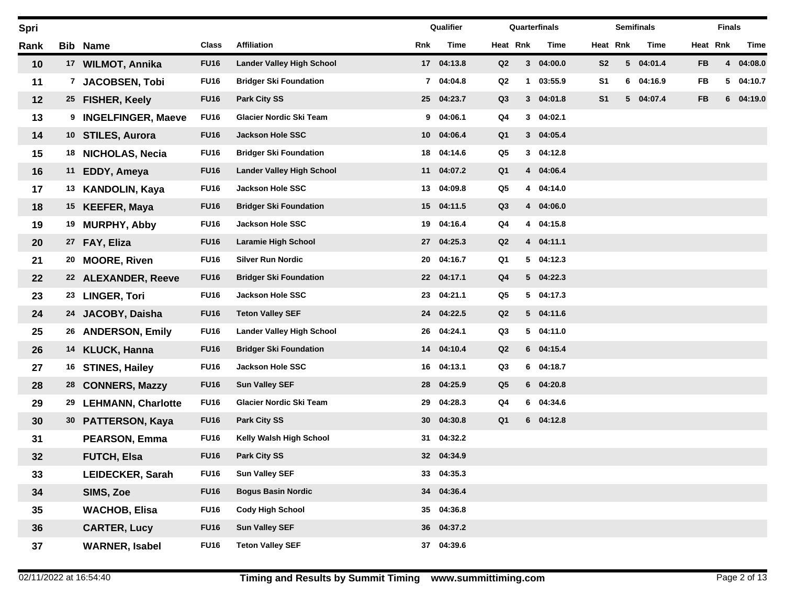| Spri |                 |                           |             |                                  |                 | Qualifier  |                |                | Quarterfinals |                |   | <b>Semifinals</b> |           | <b>Finals</b> |         |
|------|-----------------|---------------------------|-------------|----------------------------------|-----------------|------------|----------------|----------------|---------------|----------------|---|-------------------|-----------|---------------|---------|
| Rank |                 | <b>Bib Name</b>           | Class       | <b>Affiliation</b>               | Rnk             | Time       | Heat Rnk       |                | Time          | Heat Rnk       |   | Time              |           | Heat Rnk      | Time    |
| 10   |                 | 17 WILMOT, Annika         | <b>FU16</b> | <b>Lander Valley High School</b> |                 | 17 04:13.8 | Q2             |                | 304:00.0      | S <sub>2</sub> |   | 5 04:01.4         | <b>FB</b> | 4             | 04:08.0 |
| 11   | 7               | <b>JACOBSEN, Tobi</b>     | <b>FU16</b> | <b>Bridger Ski Foundation</b>    |                 | 7 04:04.8  | Q2             | $\mathbf 1$    | 03:55.9       | S <sub>1</sub> | 6 | 04:16.9           | FB        | 5             | 04:10.7 |
| 12   |                 | 25 FISHER, Keely          | <b>FU16</b> | <b>Park City SS</b>              |                 | 25 04:23.7 | Q3             |                | 3 04:01.8     | S <sub>1</sub> |   | 5 04:07.4         | <b>FB</b> | 6             | 04:19.0 |
| 13   | 9               | <b>INGELFINGER, Maeve</b> | <b>FU16</b> | Glacier Nordic Ski Team          | 9               | 04:06.1    | Q4             | $3^{\circ}$    | 04:02.1       |                |   |                   |           |               |         |
| 14   | 10 <sub>1</sub> | <b>STILES, Aurora</b>     | <b>FU16</b> | <b>Jackson Hole SSC</b>          | 10 <sup>°</sup> | 04:06.4    | Q <sub>1</sub> |                | 3 04:05.4     |                |   |                   |           |               |         |
| 15   | 18              | <b>NICHOLAS, Necia</b>    | <b>FU16</b> | <b>Bridger Ski Foundation</b>    | 18              | 04:14.6    | Q5             | 3 <sup>1</sup> | 04:12.8       |                |   |                   |           |               |         |
| 16   | 11              | EDDY, Ameya               | <b>FU16</b> | <b>Lander Valley High School</b> | 11              | 04:07.2    | Q <sub>1</sub> |                | 4 04:06.4     |                |   |                   |           |               |         |
| 17   |                 | 13 KANDOLIN, Kaya         | <b>FU16</b> | <b>Jackson Hole SSC</b>          | 13              | 04:09.8    | Q5             |                | 4 04:14.0     |                |   |                   |           |               |         |
| 18   |                 | 15 KEEFER, Maya           | <b>FU16</b> | <b>Bridger Ski Foundation</b>    | 15              | 04:11.5    | Q3             |                | 4 04:06.0     |                |   |                   |           |               |         |
| 19   | 19              | <b>MURPHY, Abby</b>       | <b>FU16</b> | <b>Jackson Hole SSC</b>          | 19              | 04:16.4    | Q4             |                | 4 04:15.8     |                |   |                   |           |               |         |
| 20   |                 | 27 FAY, Eliza             | <b>FU16</b> | <b>Laramie High School</b>       | 27              | 04:25.3    | Q2             |                | 4 04:11.1     |                |   |                   |           |               |         |
| 21   | 20              | <b>MOORE, Riven</b>       | <b>FU16</b> | <b>Silver Run Nordic</b>         | 20              | 04:16.7    | Q1             |                | 504:12.3      |                |   |                   |           |               |         |
| 22   |                 | 22 ALEXANDER, Reeve       | <b>FU16</b> | <b>Bridger Ski Foundation</b>    | 22              | 04:17.1    | Q <sub>4</sub> |                | 5 04:22.3     |                |   |                   |           |               |         |
| 23   |                 | 23 LINGER, Tori           | <b>FU16</b> | <b>Jackson Hole SSC</b>          | 23              | 04:21.1    | Q5             |                | 5 04:17.3     |                |   |                   |           |               |         |
| 24   | 24              | JACOBY, Daisha            | <b>FU16</b> | <b>Teton Valley SEF</b>          | 24              | 04:22.5    | Q2             |                | 5 04:11.6     |                |   |                   |           |               |         |
| 25   | 26              | <b>ANDERSON, Emily</b>    | <b>FU16</b> | <b>Lander Valley High School</b> | 26              | 04:24.1    | Q3             |                | 504:11.0      |                |   |                   |           |               |         |
| 26   |                 | 14 KLUCK, Hanna           | <b>FU16</b> | <b>Bridger Ski Foundation</b>    | 14              | 04:10.4    | Q2             |                | 6 04:15.4     |                |   |                   |           |               |         |
| 27   | 16              | <b>STINES, Hailey</b>     | <b>FU16</b> | <b>Jackson Hole SSC</b>          | 16              | 04:13.1    | Q3             |                | $6$ 04:18.7   |                |   |                   |           |               |         |
| 28   |                 | 28 CONNERS, Mazzy         | <b>FU16</b> | <b>Sun Valley SEF</b>            | 28              | 04:25.9    | Q <sub>5</sub> |                | 6 04:20.8     |                |   |                   |           |               |         |
| 29   | 29              | <b>LEHMANN, Charlotte</b> | <b>FU16</b> | <b>Glacier Nordic Ski Team</b>   | 29              | 04:28.3    | Q4             |                | 6 04:34.6     |                |   |                   |           |               |         |
| 30   |                 | 30 PATTERSON, Kaya        | <b>FU16</b> | <b>Park City SS</b>              | 30              | 04:30.8    | Q <sub>1</sub> |                | $6$ $04:12.8$ |                |   |                   |           |               |         |
| 31   |                 | <b>PEARSON, Emma</b>      | <b>FU16</b> | Kelly Walsh High School          | 31              | 04:32.2    |                |                |               |                |   |                   |           |               |         |
| 32   |                 | <b>FUTCH, Elsa</b>        | <b>FU16</b> | <b>Park City SS</b>              |                 | 32 04:34.9 |                |                |               |                |   |                   |           |               |         |
| 33   |                 | <b>LEIDECKER, Sarah</b>   | <b>FU16</b> | <b>Sun Valley SEF</b>            | 33              | 04:35.3    |                |                |               |                |   |                   |           |               |         |
| 34   |                 | SIMS, Zoe                 | <b>FU16</b> | <b>Bogus Basin Nordic</b>        | 34              | 04:36.4    |                |                |               |                |   |                   |           |               |         |
| 35   |                 | <b>WACHOB, Elisa</b>      | <b>FU16</b> | <b>Cody High School</b>          | 35              | 04:36.8    |                |                |               |                |   |                   |           |               |         |
| 36   |                 | <b>CARTER, Lucy</b>       | <b>FU16</b> | <b>Sun Valley SEF</b>            | 36              | 04:37.2    |                |                |               |                |   |                   |           |               |         |
| 37   |                 | <b>WARNER, Isabel</b>     | <b>FU16</b> | <b>Teton Valley SEF</b>          |                 | 37 04:39.6 |                |                |               |                |   |                   |           |               |         |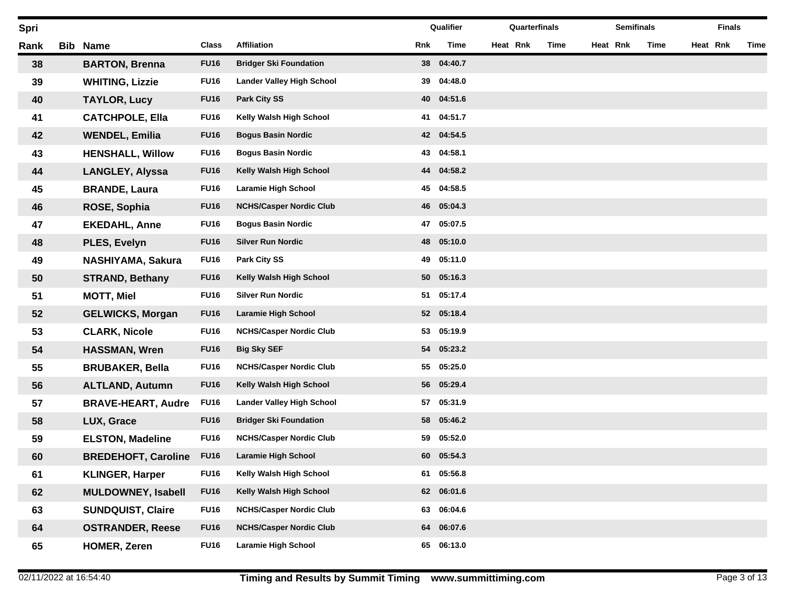| Spri |     |                            |             |                                  |     | Qualifier  |          | Quarterfinals | <b>Semifinals</b> |      |          | <b>Finals</b> |      |
|------|-----|----------------------------|-------------|----------------------------------|-----|------------|----------|---------------|-------------------|------|----------|---------------|------|
| Rank | Bib | <b>Name</b>                | Class       | <b>Affiliation</b>               | Rnk | Time       | Heat Rnk | Time          | Heat Rnk          | Time | Heat Rnk |               | Time |
| 38   |     | <b>BARTON, Brenna</b>      | <b>FU16</b> | <b>Bridger Ski Foundation</b>    | 38  | 04:40.7    |          |               |                   |      |          |               |      |
| 39   |     | <b>WHITING, Lizzie</b>     | <b>FU16</b> | <b>Lander Valley High School</b> | 39  | 04:48.0    |          |               |                   |      |          |               |      |
| 40   |     | <b>TAYLOR, Lucy</b>        | <b>FU16</b> | <b>Park City SS</b>              | 40  | 04:51.6    |          |               |                   |      |          |               |      |
| 41   |     | <b>CATCHPOLE, Ella</b>     | <b>FU16</b> | Kelly Walsh High School          | 41  | 04:51.7    |          |               |                   |      |          |               |      |
| 42   |     | <b>WENDEL, Emilia</b>      | <b>FU16</b> | <b>Bogus Basin Nordic</b>        |     | 42 04:54.5 |          |               |                   |      |          |               |      |
| 43   |     | <b>HENSHALL, Willow</b>    | <b>FU16</b> | <b>Bogus Basin Nordic</b>        | 43  | 04:58.1    |          |               |                   |      |          |               |      |
| 44   |     | <b>LANGLEY, Alyssa</b>     | <b>FU16</b> | Kelly Walsh High School          | 44  | 04:58.2    |          |               |                   |      |          |               |      |
| 45   |     | <b>BRANDE, Laura</b>       | <b>FU16</b> | <b>Laramie High School</b>       | 45  | 04:58.5    |          |               |                   |      |          |               |      |
| 46   |     | ROSE, Sophia               | <b>FU16</b> | <b>NCHS/Casper Nordic Club</b>   | 46  | 05:04.3    |          |               |                   |      |          |               |      |
| 47   |     | <b>EKEDAHL, Anne</b>       | <b>FU16</b> | <b>Bogus Basin Nordic</b>        | 47  | 05:07.5    |          |               |                   |      |          |               |      |
| 48   |     | PLES, Evelyn               | <b>FU16</b> | <b>Silver Run Nordic</b>         | 48  | 05:10.0    |          |               |                   |      |          |               |      |
| 49   |     | NASHIYAMA, Sakura          | <b>FU16</b> | <b>Park City SS</b>              | 49  | 05:11.0    |          |               |                   |      |          |               |      |
| 50   |     | <b>STRAND, Bethany</b>     | <b>FU16</b> | Kelly Walsh High School          | 50  | 05:16.3    |          |               |                   |      |          |               |      |
| 51   |     | <b>MOTT, Miel</b>          | <b>FU16</b> | <b>Silver Run Nordic</b>         | 51  | 05:17.4    |          |               |                   |      |          |               |      |
| 52   |     | <b>GELWICKS, Morgan</b>    | <b>FU16</b> | <b>Laramie High School</b>       |     | 52 05:18.4 |          |               |                   |      |          |               |      |
| 53   |     | <b>CLARK, Nicole</b>       | <b>FU16</b> | <b>NCHS/Casper Nordic Club</b>   | 53  | 05:19.9    |          |               |                   |      |          |               |      |
| 54   |     | <b>HASSMAN, Wren</b>       | <b>FU16</b> | <b>Big Sky SEF</b>               | 54  | 05:23.2    |          |               |                   |      |          |               |      |
| 55   |     | <b>BRUBAKER, Bella</b>     | <b>FU16</b> | <b>NCHS/Casper Nordic Club</b>   | 55  | 05:25.0    |          |               |                   |      |          |               |      |
| 56   |     | <b>ALTLAND, Autumn</b>     | <b>FU16</b> | Kelly Walsh High School          | 56  | 05:29.4    |          |               |                   |      |          |               |      |
| 57   |     | <b>BRAVE-HEART, Audre</b>  | <b>FU16</b> | <b>Lander Valley High School</b> | 57  | 05:31.9    |          |               |                   |      |          |               |      |
| 58   |     | LUX, Grace                 | <b>FU16</b> | <b>Bridger Ski Foundation</b>    | 58  | 05:46.2    |          |               |                   |      |          |               |      |
| 59   |     | <b>ELSTON, Madeline</b>    | <b>FU16</b> | <b>NCHS/Casper Nordic Club</b>   | 59  | 05:52.0    |          |               |                   |      |          |               |      |
| 60   |     | <b>BREDEHOFT, Caroline</b> | <b>FU16</b> | <b>Laramie High School</b>       | 60  | 05:54.3    |          |               |                   |      |          |               |      |
| 61   |     | <b>KLINGER, Harper</b>     | <b>FU16</b> | Kelly Walsh High School          | 61  | 05:56.8    |          |               |                   |      |          |               |      |
| 62   |     | <b>MULDOWNEY, Isabell</b>  | <b>FU16</b> | Kelly Walsh High School          | 62  | 06:01.6    |          |               |                   |      |          |               |      |
| 63   |     | <b>SUNDQUIST, Claire</b>   | <b>FU16</b> | <b>NCHS/Casper Nordic Club</b>   | 63  | 06:04.6    |          |               |                   |      |          |               |      |
| 64   |     | <b>OSTRANDER, Reese</b>    | <b>FU16</b> | <b>NCHS/Casper Nordic Club</b>   | 64  | 06:07.6    |          |               |                   |      |          |               |      |
| 65   |     | <b>HOMER, Zeren</b>        | <b>FU16</b> | <b>Laramie High School</b>       | 65  | 06:13.0    |          |               |                   |      |          |               |      |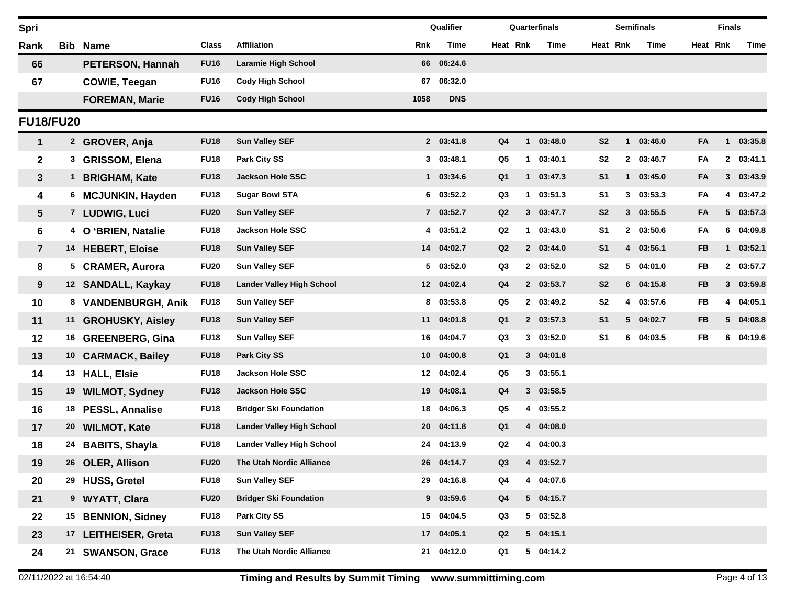| Spri                    |                 |                           |             |                                  |                 | Qualifier     |                |              | Quarterfinals |                |              | <b>Semifinals</b> |           | <b>Finals</b> |           |
|-------------------------|-----------------|---------------------------|-------------|----------------------------------|-----------------|---------------|----------------|--------------|---------------|----------------|--------------|-------------------|-----------|---------------|-----------|
| Rank                    |                 | <b>Bib Name</b>           | Class       | <b>Affiliation</b>               | Rnk             | <b>Time</b>   | Heat Rnk       |              | Time          | Heat Rnk       |              | Time              |           | Heat Rnk      | Time      |
| 66                      |                 | PETERSON, Hannah          | <b>FU16</b> | Laramie High School              |                 | 66 06:24.6    |                |              |               |                |              |                   |           |               |           |
| 67                      |                 | <b>COWIE, Teegan</b>      | <b>FU16</b> | <b>Cody High School</b>          | 67              | 06:32.0       |                |              |               |                |              |                   |           |               |           |
|                         |                 | <b>FOREMAN, Marie</b>     | <b>FU16</b> | <b>Cody High School</b>          | 1058            | <b>DNS</b>    |                |              |               |                |              |                   |           |               |           |
| <b>FU18/FU20</b>        |                 |                           |             |                                  |                 |               |                |              |               |                |              |                   |           |               |           |
| $\mathbf{1}$            |                 | <sup>2</sup> GROVER, Anja | <b>FU18</b> | <b>Sun Valley SEF</b>            |                 | 2 03:41.8     | Q <sub>4</sub> | $\mathbf{1}$ | 03:48.0       | S <sub>2</sub> | $\mathbf{1}$ | 03:46.0           | FA        | 1             | 03:35.8   |
| $\mathbf 2$             | 3               | <b>GRISSOM, Elena</b>     | <b>FU18</b> | Park City SS                     |                 | 303:48.1      | Q5             | 1            | 03:40.1       | S2             |              | 2 03:46.7         | FA        | $\mathbf{2}$  | 03:41.1   |
| 3                       | $\mathbf{1}$    | <b>BRIGHAM, Kate</b>      | <b>FU18</b> | <b>Jackson Hole SSC</b>          |                 | 1 03:34.6     | Q <sub>1</sub> | $\mathbf 1$  | 03:47.3       | S <sub>1</sub> | 1            | 03:45.0           | FA        |               | 3 03:43.9 |
| 4                       | 6               | <b>MCJUNKIN, Hayden</b>   | <b>FU18</b> | <b>Sugar Bowl STA</b>            |                 | $6$ $03:52.2$ | Q3             | 1            | 03:51.3       | S1             |              | 303:53.3          | FA        | 4             | 03:47.2   |
| 5                       |                 | 7 LUDWIG, Luci            | <b>FU20</b> | <b>Sun Valley SEF</b>            |                 | 7 03:52.7     | Q2             |              | 303:47.7      | S <sub>2</sub> |              | 3 03:55.5         | FA        |               | 5 03:57.3 |
| 6                       |                 | O 'BRIEN, Natalie         | <b>FU18</b> | Jackson Hole SSC                 |                 | 4 03:51.2     | Q <sub>2</sub> | $\mathbf 1$  | 03:43.0       | S1             |              | 2 03:50.6         | FA        |               | 6 04:09.8 |
| $\overline{\mathbf{r}}$ |                 | 14 HEBERT, Eloise         | <b>FU18</b> | <b>Sun Valley SEF</b>            |                 | 14 04:02.7    | Q2             |              | 2 03:44.0     | S <sub>1</sub> |              | 4 03:56.1         | <b>FB</b> | 1             | 03:52.1   |
| 8                       | 5               | <b>CRAMER, Aurora</b>     | <b>FU20</b> | <b>Sun Valley SEF</b>            |                 | 5 03:52.0     | Q3             |              | 2 03:52.0     | S <sub>2</sub> |              | 5 04:01.0         | FB        |               | 2 03:57.7 |
| 9                       |                 | 12 SANDALL, Kaykay        | <b>FU18</b> | <b>Lander Valley High School</b> |                 | 12 04:02.4    | Q <sub>4</sub> |              | 2 03:53.7     | S <sub>2</sub> |              | 604:15.8          | <b>FB</b> |               | 3 03:59.8 |
| 10                      |                 | 8 VANDENBURGH, Anik       | <b>FU18</b> | <b>Sun Valley SEF</b>            | 8               | 03:53.8       | Q5             |              | 2 03:49.2     | S <sub>2</sub> |              | 4 03:57.6         | FB        | 4             | 04:05.1   |
| 11                      |                 | 11 GROHUSKY, Aisley       | <b>FU18</b> | <b>Sun Valley SEF</b>            | 11              | 04:01.8       | Q <sub>1</sub> |              | 2 03:57.3     | S <sub>1</sub> |              | 5 04:02.7         | <b>FB</b> |               | 5 04:08.8 |
| 12                      |                 | 16 GREENBERG, Gina        | <b>FU18</b> | <b>Sun Valley SEF</b>            | 16              | 04:04.7       | Q3             |              | 303:52.0      | S1             | 6.           | 04:03.5           | FB        | 6             | 04:19.6   |
| 13                      |                 | 10 CARMACK, Bailey        | <b>FU18</b> | <b>Park City SS</b>              | 10 <sup>1</sup> | 04:00.8       | Q <sub>1</sub> |              | 304:01.8      |                |              |                   |           |               |           |
| 14                      |                 | 13 HALL, Elsie            | <b>FU18</b> | Jackson Hole SSC                 |                 | 12 04:02.4    | Q5             |              | 303:55.1      |                |              |                   |           |               |           |
| 15                      | 19              | <b>WILMOT, Sydney</b>     | <b>FU18</b> | Jackson Hole SSC                 | 19              | 04:08.1       | Q <sub>4</sub> |              | 303:58.5      |                |              |                   |           |               |           |
| 16                      |                 | 18 PESSL, Annalise        | <b>FU18</b> | <b>Bridger Ski Foundation</b>    | 18              | 04:06.3       | Q5             |              | 4 03:55.2     |                |              |                   |           |               |           |
| 17                      | 20              | <b>WILMOT, Kate</b>       | <b>FU18</b> | <b>Lander Valley High School</b> | 20              | 04:11.8       | Q <sub>1</sub> |              | 4 04:08.0     |                |              |                   |           |               |           |
| 18                      |                 | 24 BABITS, Shayla         | <b>FU18</b> | <b>Lander Valley High School</b> | 24              | 04:13.9       | Q2             |              | 04:00.3       |                |              |                   |           |               |           |
| 19                      |                 | 26 OLER, Allison          | <b>FU20</b> | The Utah Nordic Alliance         |                 | 26 04:14.7    | Q3             |              | 4 03:52.7     |                |              |                   |           |               |           |
| 20                      |                 | 29 HUSS, Gretel           | <b>FU18</b> | <b>Sun Valley SEF</b>            |                 | 29 04:16.8    | Q4             |              | 4 04:07.6     |                |              |                   |           |               |           |
| 21                      |                 | 9 WYATT, Clara            | <b>FU20</b> | <b>Bridger Ski Foundation</b>    |                 | $9$ 03:59.6   | Q <sub>4</sub> |              | 504:15.7      |                |              |                   |           |               |           |
| 22                      |                 | 15 BENNION, Sidney        | <b>FU18</b> | Park City SS                     |                 | 15 04:04.5    | Q3             |              | 503:52.8      |                |              |                   |           |               |           |
| 23                      | 17 <sup>7</sup> | <b>LEITHEISER, Greta</b>  | <b>FU18</b> | <b>Sun Valley SEF</b>            |                 | 17 04:05.1    | Q2             |              | 504:15.1      |                |              |                   |           |               |           |
| 24                      |                 | 21 SWANSON, Grace         | <b>FU18</b> | The Utah Nordic Alliance         |                 | 21 04:12.0    | Q1             |              | 5 04:14.2     |                |              |                   |           |               |           |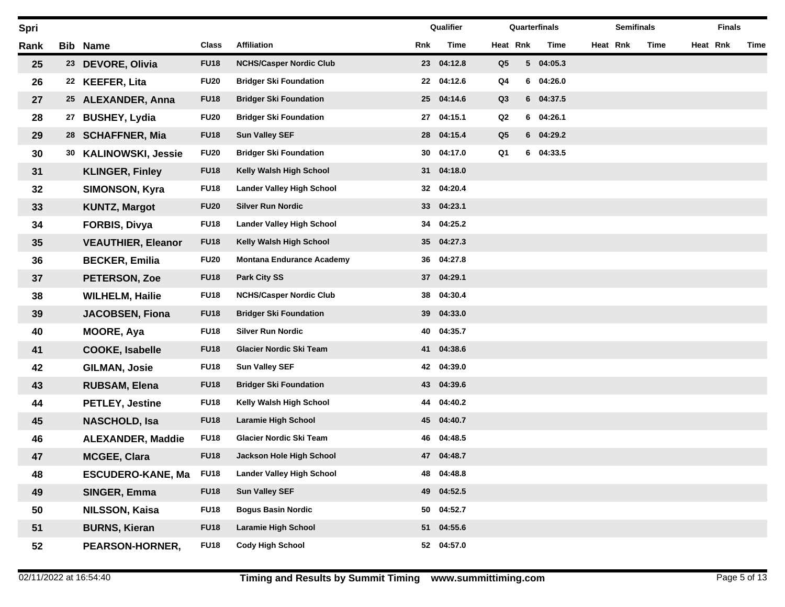| Spri |    |                           |              |                                  |     | Qualifier  |                |   | Quarterfinals |          | <b>Semifinals</b> |      | <b>Finals</b> |      |
|------|----|---------------------------|--------------|----------------------------------|-----|------------|----------------|---|---------------|----------|-------------------|------|---------------|------|
| Rank |    | <b>Bib Name</b>           | <b>Class</b> | <b>Affiliation</b>               | Rnk | Time       | Heat Rnk       |   | Time          | Heat Rnk |                   | Time | Heat Rnk      | Time |
| 25   |    | 23 DEVORE, Olivia         | <b>FU18</b>  | <b>NCHS/Casper Nordic Club</b>   |     | 23 04:12.8 | Q <sub>5</sub> |   | 5 04:05.3     |          |                   |      |               |      |
| 26   | 22 | <b>KEEFER, Lita</b>       | <b>FU20</b>  | <b>Bridger Ski Foundation</b>    | 22  | 04:12.6    | Q4             | 6 | 04:26.0       |          |                   |      |               |      |
| 27   | 25 | <b>ALEXANDER, Anna</b>    | <b>FU18</b>  | <b>Bridger Ski Foundation</b>    | 25  | 04:14.6    | Q <sub>3</sub> |   | 6 04:37.5     |          |                   |      |               |      |
| 28   | 27 | <b>BUSHEY, Lydia</b>      | <b>FU20</b>  | <b>Bridger Ski Foundation</b>    | 27  | 04:15.1    | Q2             |   | $6$ 04:26.1   |          |                   |      |               |      |
| 29   | 28 | <b>SCHAFFNER, Mia</b>     | <b>FU18</b>  | <b>Sun Valley SEF</b>            | 28  | 04:15.4    | Q <sub>5</sub> |   | 6 04:29.2     |          |                   |      |               |      |
| 30   | 30 | <b>KALINOWSKI, Jessie</b> | <b>FU20</b>  | <b>Bridger Ski Foundation</b>    | 30  | 04:17.0    | Q1             |   | 6 04:33.5     |          |                   |      |               |      |
| 31   |    | <b>KLINGER, Finley</b>    | <b>FU18</b>  | Kelly Walsh High School          | 31  | 04:18.0    |                |   |               |          |                   |      |               |      |
| 32   |    | <b>SIMONSON, Kyra</b>     | <b>FU18</b>  | <b>Lander Valley High School</b> | 32  | 04:20.4    |                |   |               |          |                   |      |               |      |
| 33   |    | <b>KUNTZ, Margot</b>      | <b>FU20</b>  | <b>Silver Run Nordic</b>         | 33  | 04:23.1    |                |   |               |          |                   |      |               |      |
| 34   |    | <b>FORBIS, Divya</b>      | <b>FU18</b>  | <b>Lander Valley High School</b> | 34  | 04:25.2    |                |   |               |          |                   |      |               |      |
| 35   |    | <b>VEAUTHIER, Eleanor</b> | <b>FU18</b>  | Kelly Walsh High School          | 35  | 04:27.3    |                |   |               |          |                   |      |               |      |
| 36   |    | <b>BECKER, Emilia</b>     | <b>FU20</b>  | <b>Montana Endurance Academy</b> | 36  | 04:27.8    |                |   |               |          |                   |      |               |      |
| 37   |    | PETERSON, Zoe             | <b>FU18</b>  | <b>Park City SS</b>              |     | 37 04:29.1 |                |   |               |          |                   |      |               |      |
| 38   |    | <b>WILHELM, Hailie</b>    | <b>FU18</b>  | <b>NCHS/Casper Nordic Club</b>   | 38  | 04:30.4    |                |   |               |          |                   |      |               |      |
| 39   |    | <b>JACOBSEN, Fiona</b>    | <b>FU18</b>  | <b>Bridger Ski Foundation</b>    | 39  | 04:33.0    |                |   |               |          |                   |      |               |      |
| 40   |    | <b>MOORE, Aya</b>         | <b>FU18</b>  | <b>Silver Run Nordic</b>         | 40  | 04:35.7    |                |   |               |          |                   |      |               |      |
| 41   |    | <b>COOKE, Isabelle</b>    | <b>FU18</b>  | Glacier Nordic Ski Team          | 41  | 04:38.6    |                |   |               |          |                   |      |               |      |
| 42   |    | <b>GILMAN, Josie</b>      | <b>FU18</b>  | <b>Sun Valley SEF</b>            | 42  | 04:39.0    |                |   |               |          |                   |      |               |      |
| 43   |    | <b>RUBSAM, Elena</b>      | <b>FU18</b>  | <b>Bridger Ski Foundation</b>    | 43  | 04:39.6    |                |   |               |          |                   |      |               |      |
| 44   |    | <b>PETLEY, Jestine</b>    | <b>FU18</b>  | Kelly Walsh High School          | 44  | 04:40.2    |                |   |               |          |                   |      |               |      |
| 45   |    | <b>NASCHOLD, Isa</b>      | <b>FU18</b>  | Laramie High School              |     | 45 04:40.7 |                |   |               |          |                   |      |               |      |
| 46   |    | <b>ALEXANDER, Maddie</b>  | <b>FU18</b>  | <b>Glacier Nordic Ski Team</b>   | 46  | 04:48.5    |                |   |               |          |                   |      |               |      |
| 47   |    | <b>MCGEE, Clara</b>       | <b>FU18</b>  | Jackson Hole High School         |     | 47 04:48.7 |                |   |               |          |                   |      |               |      |
| 48   |    | <b>ESCUDERO-KANE, Ma</b>  | <b>FU18</b>  | <b>Lander Valley High School</b> | 48  | 04:48.8    |                |   |               |          |                   |      |               |      |
| 49   |    | SINGER, Emma              | <b>FU18</b>  | <b>Sun Valley SEF</b>            |     | 49 04:52.5 |                |   |               |          |                   |      |               |      |
| 50   |    | <b>NILSSON, Kaisa</b>     | <b>FU18</b>  | <b>Bogus Basin Nordic</b>        | 50  | 04:52.7    |                |   |               |          |                   |      |               |      |
| 51   |    | <b>BURNS, Kieran</b>      | <b>FU18</b>  | <b>Laramie High School</b>       |     | 51 04:55.6 |                |   |               |          |                   |      |               |      |
| 52   |    | PEARSON-HORNER,           | <b>FU18</b>  | <b>Cody High School</b>          |     | 52 04:57.0 |                |   |               |          |                   |      |               |      |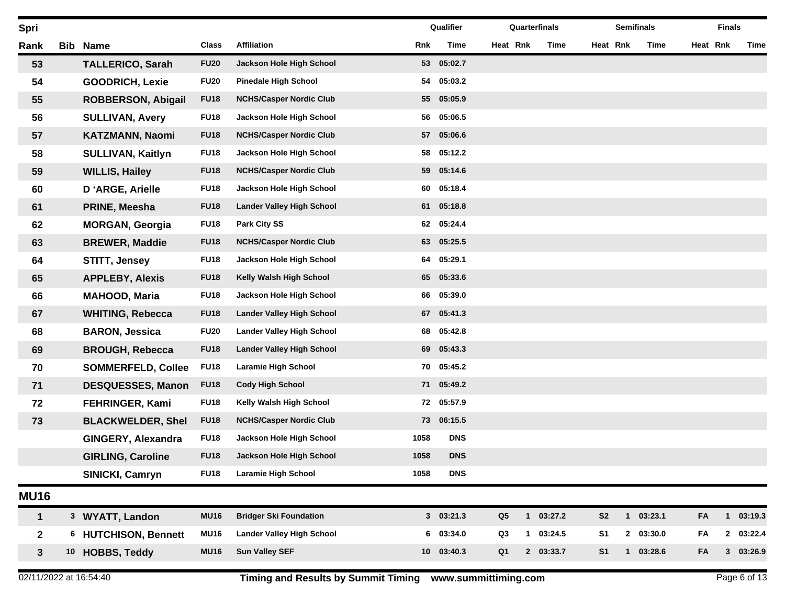| Spri           |            |                           |             |                                  |            | Qualifier  |                |              | Quarterfinals |                |          | <b>Semifinals</b> |             |          | <b>Finals</b>  |         |
|----------------|------------|---------------------------|-------------|----------------------------------|------------|------------|----------------|--------------|---------------|----------------|----------|-------------------|-------------|----------|----------------|---------|
| Rank           | <b>Bib</b> | <b>Name</b>               | Class       | <b>Affiliation</b>               | <b>Rnk</b> | Time       | Heat Rnk       |              | Time          |                | Heat Rnk |                   | Time        | Heat Rnk |                | Time    |
| 53             |            | <b>TALLERICO, Sarah</b>   | <b>FU20</b> | Jackson Hole High School         | 53         | 05:02.7    |                |              |               |                |          |                   |             |          |                |         |
| 54             |            | <b>GOODRICH, Lexie</b>    | <b>FU20</b> | <b>Pinedale High School</b>      | 54         | 05:03.2    |                |              |               |                |          |                   |             |          |                |         |
| 55             |            | <b>ROBBERSON, Abigail</b> | <b>FU18</b> | <b>NCHS/Casper Nordic Club</b>   | 55         | 05:05.9    |                |              |               |                |          |                   |             |          |                |         |
| 56             |            | <b>SULLIVAN, Avery</b>    | <b>FU18</b> | Jackson Hole High School         | 56         | 05:06.5    |                |              |               |                |          |                   |             |          |                |         |
| 57             |            | <b>KATZMANN, Naomi</b>    | <b>FU18</b> | <b>NCHS/Casper Nordic Club</b>   | 57         | 05:06.6    |                |              |               |                |          |                   |             |          |                |         |
| 58             |            | <b>SULLIVAN, Kaitlyn</b>  | <b>FU18</b> | Jackson Hole High School         | 58         | 05:12.2    |                |              |               |                |          |                   |             |          |                |         |
| 59             |            | <b>WILLIS, Hailey</b>     | <b>FU18</b> | <b>NCHS/Casper Nordic Club</b>   | 59         | 05:14.6    |                |              |               |                |          |                   |             |          |                |         |
| 60             |            | D'ARGE, Arielle           | <b>FU18</b> | Jackson Hole High School         | 60         | 05:18.4    |                |              |               |                |          |                   |             |          |                |         |
| 61             |            | PRINE, Meesha             | <b>FU18</b> | <b>Lander Valley High School</b> | 61         | 05:18.8    |                |              |               |                |          |                   |             |          |                |         |
| 62             |            | <b>MORGAN, Georgia</b>    | <b>FU18</b> | <b>Park City SS</b>              | 62         | 05:24.4    |                |              |               |                |          |                   |             |          |                |         |
| 63             |            | <b>BREWER, Maddie</b>     | <b>FU18</b> | <b>NCHS/Casper Nordic Club</b>   | 63         | 05:25.5    |                |              |               |                |          |                   |             |          |                |         |
| 64             |            | <b>STITT, Jensey</b>      | <b>FU18</b> | Jackson Hole High School         | 64         | 05:29.1    |                |              |               |                |          |                   |             |          |                |         |
| 65             |            | <b>APPLEBY, Alexis</b>    | <b>FU18</b> | Kelly Walsh High School          | 65         | 05:33.6    |                |              |               |                |          |                   |             |          |                |         |
| 66             |            | <b>MAHOOD, Maria</b>      | <b>FU18</b> | Jackson Hole High School         | 66         | 05:39.0    |                |              |               |                |          |                   |             |          |                |         |
| 67             |            | <b>WHITING, Rebecca</b>   | <b>FU18</b> | <b>Lander Valley High School</b> | 67         | 05:41.3    |                |              |               |                |          |                   |             |          |                |         |
| 68             |            | <b>BARON, Jessica</b>     | <b>FU20</b> | <b>Lander Valley High School</b> | 68         | 05:42.8    |                |              |               |                |          |                   |             |          |                |         |
| 69             |            | <b>BROUGH, Rebecca</b>    | <b>FU18</b> | <b>Lander Valley High School</b> | 69         | 05:43.3    |                |              |               |                |          |                   |             |          |                |         |
| 70             |            | <b>SOMMERFELD, Collee</b> | <b>FU18</b> | <b>Laramie High School</b>       | 70         | 05:45.2    |                |              |               |                |          |                   |             |          |                |         |
| 71             |            | <b>DESQUESSES, Manon</b>  | <b>FU18</b> | <b>Cody High School</b>          | 71         | 05:49.2    |                |              |               |                |          |                   |             |          |                |         |
| 72             |            | <b>FEHRINGER, Kami</b>    | <b>FU18</b> | Kelly Walsh High School          | 72         | 05:57.9    |                |              |               |                |          |                   |             |          |                |         |
| 73             |            | <b>BLACKWELDER, Shel</b>  | <b>FU18</b> | <b>NCHS/Casper Nordic Club</b>   | 73         | 06:15.5    |                |              |               |                |          |                   |             |          |                |         |
|                |            | GINGERY, Alexandra        | <b>FU18</b> | Jackson Hole High School         | 1058       | <b>DNS</b> |                |              |               |                |          |                   |             |          |                |         |
|                |            | <b>GIRLING, Caroline</b>  | <b>FU18</b> | Jackson Hole High School         | 1058       | <b>DNS</b> |                |              |               |                |          |                   |             |          |                |         |
|                |            | SINICKI, Camryn           | <b>FU18</b> | <b>Laramie High School</b>       | 1058       | <b>DNS</b> |                |              |               |                |          |                   |             |          |                |         |
| <b>MU16</b>    |            |                           |             |                                  |            |            |                |              |               |                |          |                   |             |          |                |         |
| 1              |            | 3 WYATT, Landon           | <b>MU16</b> | <b>Bridger Ski Foundation</b>    |            | 303:21.3   | Q <sub>5</sub> |              | $1$ 03:27.2   | S <sub>2</sub> |          |                   | $1$ 03:23.1 | FA       | $\mathbf{1}$   | 03:19.3 |
| $\mathbf{2}$   |            | 6 HUTCHISON, Bennett      | <b>MU16</b> | <b>Lander Valley High School</b> |            | 6 03:34.0  | Q3             | $\mathbf{1}$ | 03:24.5       | S <sub>1</sub> |          |                   | 2 03:30.0   | FA       | $\mathbf{2}$   | 03:22.4 |
| $3\phantom{a}$ |            | 10 HOBBS, Teddy           | <b>MU16</b> | <b>Sun Valley SEF</b>            |            | 10 03:40.3 | Q <sub>1</sub> |              | 2 03:33.7     | S <sub>1</sub> |          |                   | 1 03:28.6   | FA       | 3 <sup>1</sup> | 03:26.9 |
|                |            |                           |             |                                  |            |            |                |              |               |                |          |                   |             |          |                |         |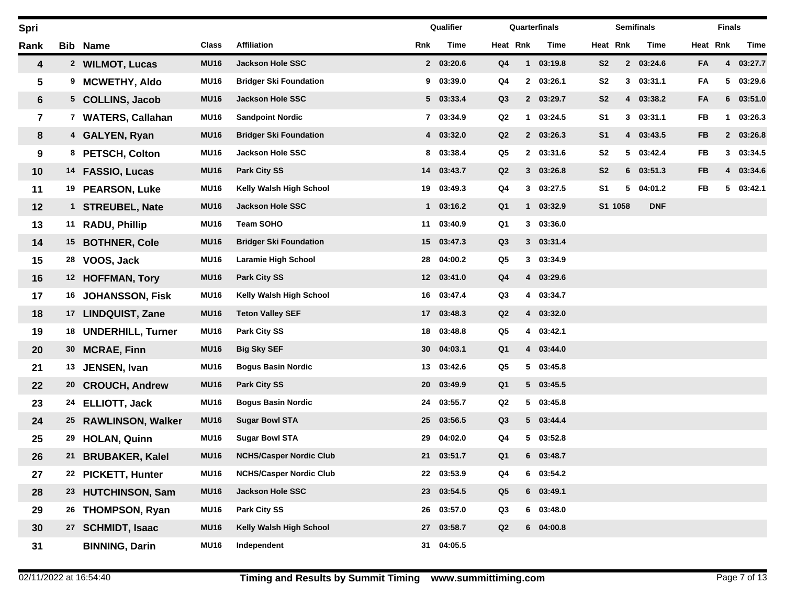| Spri                    |                 |                          |             |                                |     | Qualifier         |                |                | Quarterfinals |                |          | <b>Semifinals</b> |           | <b>Finals</b> |         |
|-------------------------|-----------------|--------------------------|-------------|--------------------------------|-----|-------------------|----------------|----------------|---------------|----------------|----------|-------------------|-----------|---------------|---------|
| Rank                    |                 | <b>Bib Name</b>          | Class       | <b>Affiliation</b>             | Rnk | Time              | Heat Rnk       |                | Time          |                | Heat Rnk | Time              |           | Heat Rnk      | Time    |
| 4                       |                 | 2 WILMOT, Lucas          | <b>MU16</b> | <b>Jackson Hole SSC</b>        |     | 2 03:20.6         | Q <sub>4</sub> | $\mathbf{1}$   | 03:19.8       | S <sub>2</sub> |          | 2 03:24.6         | FA        | 4             | 03:27.7 |
| 5                       | 9               | <b>MCWETHY, Aldo</b>     | <b>MU16</b> | <b>Bridger Ski Foundation</b>  | 9   | 03:39.0           | Q4             | $\mathbf{2}$   | 03:26.1       | S <sub>2</sub> | 3        | 03:31.1           | FA        | 5             | 03:29.6 |
| 6                       |                 | 5 COLLINS, Jacob         | <b>MU16</b> | <b>Jackson Hole SSC</b>        |     | 5 03:33.4         | Q <sub>3</sub> |                | 2 03:29.7     | S <sub>2</sub> |          | 4 03:38.2         | FA        | 6             | 03:51.0 |
| $\overline{\mathbf{r}}$ | $\mathbf{7}$    | <b>WATERS, Callahan</b>  | <b>MU16</b> | <b>Sandpoint Nordic</b>        |     | 7 03:34.9         | Q2             | $\mathbf 1$    | 03:24.5       | S <sub>1</sub> | 3        | 03:31.1           | FB        | 1             | 03:26.3 |
| 8                       |                 | 4 GALYEN, Ryan           | <b>MU16</b> | <b>Bridger Ski Foundation</b>  |     | 4 03:32.0         | Q2             |                | 2 03:26.3     | S <sub>1</sub> |          | 4 03:43.5         | <b>FB</b> | $\mathbf{2}$  | 03:26.8 |
| 9                       |                 | 8 PETSCH, Colton         | <b>MU16</b> | <b>Jackson Hole SSC</b>        | 8   | 03:38.4           | Q5             |                | 2 03:31.6     | S <sub>2</sub> |          | 5 03:42.4         | FB        | $3^{\circ}$   | 03:34.5 |
| 10                      | 14              | <b>FASSIO, Lucas</b>     | <b>MU16</b> | <b>Park City SS</b>            | 14  | 03:43.7           | Q2             |                | 303:26.8      | S <sub>2</sub> |          | 603:51.3          | <b>FB</b> | 4             | 03:34.6 |
| 11                      |                 | 19 PEARSON, Luke         | <b>MU16</b> | Kelly Walsh High School        | 19  | 03:49.3           | Q4             | 3              | 03:27.5       | S <sub>1</sub> | 5.       | 04:01.2           | <b>FB</b> | 5             | 03:42.1 |
| 12                      | $\mathbf{1}$    | <b>STREUBEL, Nate</b>    | <b>MU16</b> | <b>Jackson Hole SSC</b>        |     | $1 \quad 03:16.2$ | Q <sub>1</sub> | $\mathbf{1}$   | 03:32.9       |                | S1 1058  | <b>DNF</b>        |           |               |         |
| 13                      |                 | 11 RADU, Phillip         | <b>MU16</b> | <b>Team SOHO</b>               | 11  | 03:40.9           | Q <sub>1</sub> | 3              | 03:36.0       |                |          |                   |           |               |         |
| 14                      | 15 <sub>1</sub> | <b>BOTHNER, Cole</b>     | <b>MU16</b> | <b>Bridger Ski Foundation</b>  | 15  | 03:47.3           | Q <sub>3</sub> |                | 303:31.4      |                |          |                   |           |               |         |
| 15                      | 28              | VOOS, Jack               | <b>MU16</b> | <b>Laramie High School</b>     | 28  | 04:00.2           | Q5             | $3^{\circ}$    | 03:34.9       |                |          |                   |           |               |         |
| 16                      |                 | 12 HOFFMAN, Tory         | <b>MU16</b> | <b>Park City SS</b>            |     | 12 03:41.0        | Q <sub>4</sub> | $\overline{4}$ | 03:29.6       |                |          |                   |           |               |         |
| 17                      | 16              | <b>JOHANSSON, Fisk</b>   | <b>MU16</b> | Kelly Walsh High School        | 16  | 03:47.4           | Q3             |                | 4 03:34.7     |                |          |                   |           |               |         |
| 18                      | 17 <sub>2</sub> | <b>LINDQUIST, Zane</b>   | <b>MU16</b> | <b>Teton Valley SEF</b>        | 17  | 03:48.3           | Q2             |                | 4 03:32.0     |                |          |                   |           |               |         |
| 19                      |                 | 18 UNDERHILL, Turner     | <b>MU16</b> | <b>Park City SS</b>            | 18  | 03:48.8           | Q5             |                | 4 03:42.1     |                |          |                   |           |               |         |
| 20                      | 30              | <b>MCRAE, Finn</b>       | <b>MU16</b> | <b>Big Sky SEF</b>             | 30  | 04:03.1           | Q <sub>1</sub> |                | 4 03:44.0     |                |          |                   |           |               |         |
| 21                      | 13              | JENSEN, Ivan             | <b>MU16</b> | <b>Bogus Basin Nordic</b>      | 13  | 03:42.6           | Q5             |                | 503:45.8      |                |          |                   |           |               |         |
| 22                      | 20              | <b>CROUCH, Andrew</b>    | <b>MU16</b> | <b>Park City SS</b>            | 20  | 03:49.9           | Q <sub>1</sub> |                | 5 03:45.5     |                |          |                   |           |               |         |
| 23                      | 24              | <b>ELLIOTT, Jack</b>     | <b>MU16</b> | <b>Bogus Basin Nordic</b>      | 24  | 03:55.7           | Q <sub>2</sub> | 5              | 03:45.8       |                |          |                   |           |               |         |
| 24                      | 25              | <b>RAWLINSON, Walker</b> | <b>MU16</b> | <b>Sugar Bowl STA</b>          | 25  | 03:56.5           | Q3             |                | 5 03:44.4     |                |          |                   |           |               |         |
| 25                      | 29              | <b>HOLAN, Quinn</b>      | <b>MU16</b> | <b>Sugar Bowl STA</b>          | 29  | 04:02.0           | Q4             | 5.             | 03:52.8       |                |          |                   |           |               |         |
| 26                      | 21              | <b>BRUBAKER, Kalel</b>   | <b>MU16</b> | <b>NCHS/Casper Nordic Club</b> | 21  | 03:51.7           | Q <sub>1</sub> | 6              | 03:48.7       |                |          |                   |           |               |         |
| 27                      |                 | 22 PICKETT, Hunter       | <b>MU16</b> | <b>NCHS/Casper Nordic Club</b> | 22  | 03:53.9           | Q4             |                | 6 03:54.2     |                |          |                   |           |               |         |
| 28                      |                 | 23 HUTCHINSON, Sam       | <b>MU16</b> | Jackson Hole SSC               | 23  | 03:54.5           | Q <sub>5</sub> |                | 6 03:49.1     |                |          |                   |           |               |         |
| 29                      | 26              | <b>THOMPSON, Ryan</b>    | <b>MU16</b> | <b>Park City SS</b>            | 26  | 03:57.0           | Q3             |                | 603:48.0      |                |          |                   |           |               |         |
| 30                      | 27              | <b>SCHMIDT, Isaac</b>    | <b>MU16</b> | Kelly Walsh High School        | 27  | 03:58.7           | Q2             |                | $6$ 04:00.8   |                |          |                   |           |               |         |
| 31                      |                 | <b>BINNING, Darin</b>    | <b>MU16</b> | Independent                    |     | 31 04:05.5        |                |                |               |                |          |                   |           |               |         |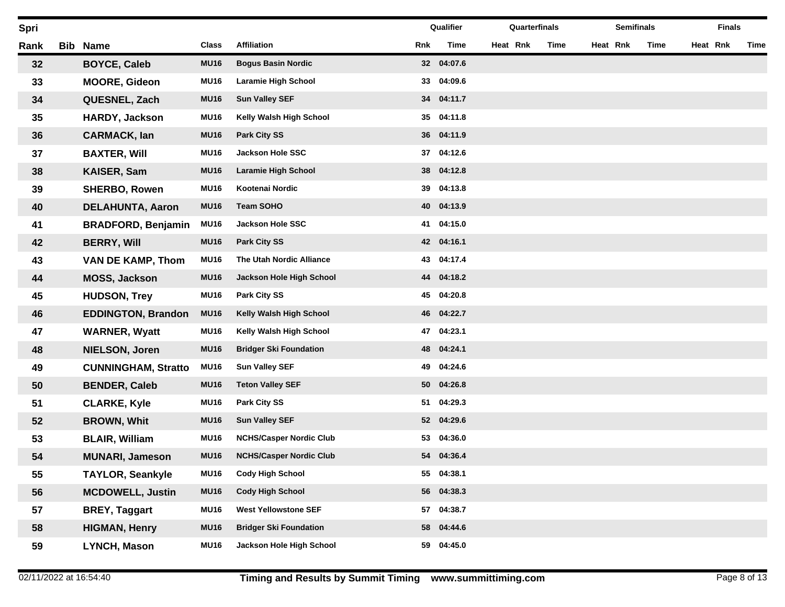| Spri |     |                            |             |                                |     | Qualifier  | Quarterfinals |      |          | <b>Semifinals</b> |      |          | <b>Finals</b> |      |
|------|-----|----------------------------|-------------|--------------------------------|-----|------------|---------------|------|----------|-------------------|------|----------|---------------|------|
| Rank | Bib | <b>Name</b>                | Class       | <b>Affiliation</b>             | Rnk | Time       | Heat Rnk      | Time | Heat Rnk |                   | Time | Heat Rnk |               | Time |
| 32   |     | <b>BOYCE, Caleb</b>        | <b>MU16</b> | <b>Bogus Basin Nordic</b>      |     | 32 04:07.6 |               |      |          |                   |      |          |               |      |
| 33   |     | <b>MOORE, Gideon</b>       | <b>MU16</b> | <b>Laramie High School</b>     | 33  | 04:09.6    |               |      |          |                   |      |          |               |      |
| 34   |     | QUESNEL, Zach              | <b>MU16</b> | <b>Sun Valley SEF</b>          | 34  | 04:11.7    |               |      |          |                   |      |          |               |      |
| 35   |     | <b>HARDY, Jackson</b>      | <b>MU16</b> | Kelly Walsh High School        | 35  | 04:11.8    |               |      |          |                   |      |          |               |      |
| 36   |     | <b>CARMACK, lan</b>        | <b>MU16</b> | <b>Park City SS</b>            |     | 36 04:11.9 |               |      |          |                   |      |          |               |      |
| 37   |     | <b>BAXTER, Will</b>        | <b>MU16</b> | <b>Jackson Hole SSC</b>        | 37  | 04:12.6    |               |      |          |                   |      |          |               |      |
| 38   |     | KAISER, Sam                | <b>MU16</b> | <b>Laramie High School</b>     | 38  | 04:12.8    |               |      |          |                   |      |          |               |      |
| 39   |     | <b>SHERBO, Rowen</b>       | <b>MU16</b> | Kootenai Nordic                | 39  | 04:13.8    |               |      |          |                   |      |          |               |      |
| 40   |     | <b>DELAHUNTA, Aaron</b>    | <b>MU16</b> | <b>Team SOHO</b>               | 40  | 04:13.9    |               |      |          |                   |      |          |               |      |
| 41   |     | <b>BRADFORD, Benjamin</b>  | <b>MU16</b> | <b>Jackson Hole SSC</b>        | 41  | 04:15.0    |               |      |          |                   |      |          |               |      |
| 42   |     | <b>BERRY, Will</b>         | <b>MU16</b> | <b>Park City SS</b>            |     | 42 04:16.1 |               |      |          |                   |      |          |               |      |
| 43   |     | <b>VAN DE KAMP, Thom</b>   | <b>MU16</b> | The Utah Nordic Alliance       | 43  | 04:17.4    |               |      |          |                   |      |          |               |      |
| 44   |     | MOSS, Jackson              | <b>MU16</b> | Jackson Hole High School       | 44  | 04:18.2    |               |      |          |                   |      |          |               |      |
| 45   |     | <b>HUDSON, Trey</b>        | <b>MU16</b> | <b>Park City SS</b>            | 45  | 04:20.8    |               |      |          |                   |      |          |               |      |
| 46   |     | <b>EDDINGTON, Brandon</b>  | <b>MU16</b> | Kelly Walsh High School        | 46  | 04:22.7    |               |      |          |                   |      |          |               |      |
| 47   |     | <b>WARNER, Wyatt</b>       | <b>MU16</b> | Kelly Walsh High School        | 47  | 04:23.1    |               |      |          |                   |      |          |               |      |
| 48   |     | <b>NIELSON, Joren</b>      | <b>MU16</b> | <b>Bridger Ski Foundation</b>  | 48  | 04:24.1    |               |      |          |                   |      |          |               |      |
| 49   |     | <b>CUNNINGHAM, Stratto</b> | <b>MU16</b> | <b>Sun Valley SEF</b>          | 49  | 04:24.6    |               |      |          |                   |      |          |               |      |
| 50   |     | <b>BENDER, Caleb</b>       | <b>MU16</b> | <b>Teton Valley SEF</b>        | 50  | 04:26.8    |               |      |          |                   |      |          |               |      |
| 51   |     | <b>CLARKE, Kyle</b>        | <b>MU16</b> | Park City SS                   | 51  | 04:29.3    |               |      |          |                   |      |          |               |      |
| 52   |     | <b>BROWN, Whit</b>         | <b>MU16</b> | <b>Sun Valley SEF</b>          |     | 52 04:29.6 |               |      |          |                   |      |          |               |      |
| 53   |     | <b>BLAIR, William</b>      | <b>MU16</b> | <b>NCHS/Casper Nordic Club</b> | 53  | 04:36.0    |               |      |          |                   |      |          |               |      |
| 54   |     | <b>MUNARI, Jameson</b>     | <b>MU16</b> | <b>NCHS/Casper Nordic Club</b> | 54  | 04:36.4    |               |      |          |                   |      |          |               |      |
| 55   |     | <b>TAYLOR, Seankyle</b>    | <b>MU16</b> | <b>Cody High School</b>        | 55  | 04:38.1    |               |      |          |                   |      |          |               |      |
| 56   |     | <b>MCDOWELL, Justin</b>    | <b>MU16</b> | <b>Cody High School</b>        | 56  | 04:38.3    |               |      |          |                   |      |          |               |      |
| 57   |     | <b>BREY, Taggart</b>       | <b>MU16</b> | <b>West Yellowstone SEF</b>    | 57  | 04:38.7    |               |      |          |                   |      |          |               |      |
| 58   |     | <b>HIGMAN, Henry</b>       | <b>MU16</b> | <b>Bridger Ski Foundation</b>  | 58  | 04:44.6    |               |      |          |                   |      |          |               |      |
| 59   |     | LYNCH, Mason               | <b>MU16</b> | Jackson Hole High School       | 59  | 04:45.0    |               |      |          |                   |      |          |               |      |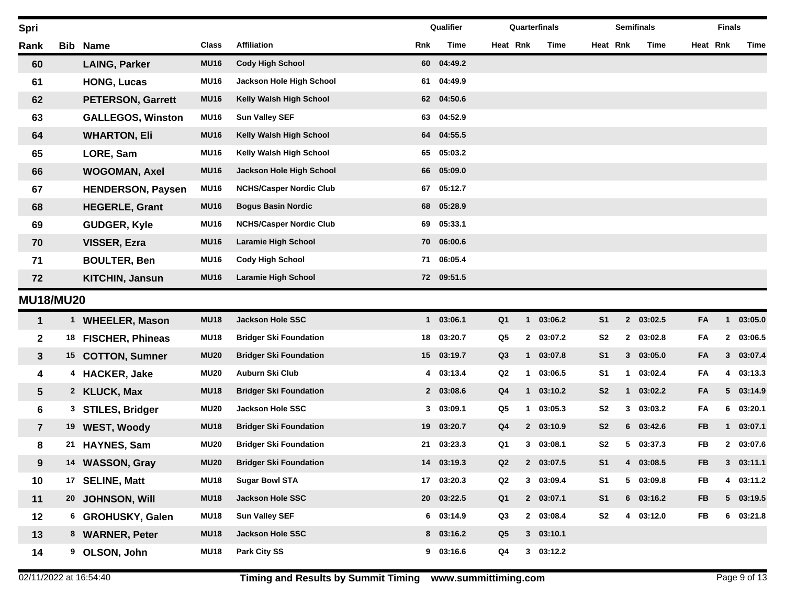| Spri                    |              |                          |             |                                |     | Qualifier  |                | Quarterfinals |             |                | <b>Semifinals</b> |             |           | <b>Finals</b>  |           |
|-------------------------|--------------|--------------------------|-------------|--------------------------------|-----|------------|----------------|---------------|-------------|----------------|-------------------|-------------|-----------|----------------|-----------|
| Rank                    | Bib          | <b>Name</b>              | Class       | <b>Affiliation</b>             | Rnk | Time       | Heat Rnk       |               | Time        | Heat Rnk       |                   | Time        | Heat Rnk  |                | Time      |
| 60                      |              | <b>LAING, Parker</b>     | <b>MU16</b> | <b>Cody High School</b>        |     | 60 04:49.2 |                |               |             |                |                   |             |           |                |           |
| 61                      |              | <b>HONG, Lucas</b>       | <b>MU16</b> | Jackson Hole High School       | 61  | 04:49.9    |                |               |             |                |                   |             |           |                |           |
| 62                      |              | <b>PETERSON, Garrett</b> | <b>MU16</b> | Kelly Walsh High School        | 62  | 04:50.6    |                |               |             |                |                   |             |           |                |           |
| 63                      |              | <b>GALLEGOS, Winston</b> | <b>MU16</b> | <b>Sun Valley SEF</b>          | 63  | 04:52.9    |                |               |             |                |                   |             |           |                |           |
| 64                      |              | <b>WHARTON, Eli</b>      | <b>MU16</b> | Kelly Walsh High School        | 64  | 04:55.5    |                |               |             |                |                   |             |           |                |           |
| 65                      |              | LORE, Sam                | <b>MU16</b> | Kelly Walsh High School        | 65  | 05:03.2    |                |               |             |                |                   |             |           |                |           |
| 66                      |              | <b>WOGOMAN, Axel</b>     | <b>MU16</b> | Jackson Hole High School       | 66  | 05:09.0    |                |               |             |                |                   |             |           |                |           |
| 67                      |              | <b>HENDERSON, Paysen</b> | <b>MU16</b> | <b>NCHS/Casper Nordic Club</b> | 67  | 05:12.7    |                |               |             |                |                   |             |           |                |           |
| 68                      |              | <b>HEGERLE, Grant</b>    | <b>MU16</b> | <b>Bogus Basin Nordic</b>      | 68  | 05:28.9    |                |               |             |                |                   |             |           |                |           |
| 69                      |              | <b>GUDGER, Kyle</b>      | <b>MU16</b> | <b>NCHS/Casper Nordic Club</b> | 69  | 05:33.1    |                |               |             |                |                   |             |           |                |           |
| 70                      |              | VISSER, Ezra             | <b>MU16</b> | Laramie High School            | 70  | 06:00.6    |                |               |             |                |                   |             |           |                |           |
| 71                      |              | <b>BOULTER, Ben</b>      | <b>MU16</b> | <b>Cody High School</b>        | 71  | 06:05.4    |                |               |             |                |                   |             |           |                |           |
| 72                      |              | <b>KITCHIN, Jansun</b>   | <b>MU16</b> | Laramie High School            |     | 72 09:51.5 |                |               |             |                |                   |             |           |                |           |
| <b>MU18/MU20</b>        |              |                          |             |                                |     |            |                |               |             |                |                   |             |           |                |           |
| $\mathbf{1}$            | $\mathbf{1}$ | <b>WHEELER, Mason</b>    | <b>MU18</b> | <b>Jackson Hole SSC</b>        |     | 1 03:06.1  | Q <sub>1</sub> |               | 1 03:06.2   | S <sub>1</sub> |                   | 2 03:02.5   | FA        | $\mathbf 1$    | 03:05.0   |
| $\mathbf 2$             | 18           | <b>FISCHER, Phineas</b>  | <b>MU18</b> | <b>Bridger Ski Foundation</b>  | 18  | 03:20.7    | Q5             |               | 2 03:07.2   | S <sub>2</sub> |                   | 2 03:02.8   | FA        | $\mathbf{2}$   | 03:06.5   |
| 3                       | 15           | <b>COTTON, Sumner</b>    | <b>MU20</b> | <b>Bridger Ski Foundation</b>  |     | 15 03:19.7 | Q3             | $\mathbf{1}$  | 03:07.8     | S <sub>1</sub> |                   | 303:05.0    | FA        | 3 <sup>1</sup> | 03:07.4   |
| 4                       | 4            | <b>HACKER, Jake</b>      | <b>MU20</b> | Auburn Ski Club                |     | 4 03:13.4  | Q <sub>2</sub> | 1             | 03:06.5     | S <sub>1</sub> | $\mathbf 1$       | 03:02.4     | FA        | 4              | 03:13.3   |
| 5                       |              | 2 KLUCK, Max             | <b>MU18</b> | <b>Bridger Ski Foundation</b>  |     | 2 03:08.6  | Q <sub>4</sub> | $\mathbf{1}$  | 03:10.2     | S <sub>2</sub> | 1                 | 03:02.2     | FA        | 5              | 03:14.9   |
| 6                       | 3            | <b>STILES, Bridger</b>   | <b>MU20</b> | <b>Jackson Hole SSC</b>        |     | 303:09.1   | Q5             | $\mathbf{1}$  | 03:05.3     | S <sub>2</sub> |                   | 303:03.2    | FA        | 6.             | 03:20.1   |
| $\overline{\mathbf{r}}$ | 19           | <b>WEST, Woody</b>       | <b>MU18</b> | <b>Bridger Ski Foundation</b>  |     | 19 03:20.7 | Q <sub>4</sub> |               | 2 03:10.9   | S <sub>2</sub> |                   | 603:42.6    | <b>FB</b> | $\mathbf{1}$   | 03:07.1   |
| 8                       | 21           | <b>HAYNES, Sam</b>       | <b>MU20</b> | <b>Bridger Ski Foundation</b>  | 21  | 03:23.3    | Q1             |               | 303:08.1    | S <sub>2</sub> |                   | 503:37.3    | <b>FB</b> |                | 2 03:07.6 |
| 9                       |              | 14 WASSON, Gray          | <b>MU20</b> | <b>Bridger Ski Foundation</b>  |     | 14 03:19.3 | Q2             | $\mathbf{2}$  | 03:07.5     | S <sub>1</sub> |                   | 4 03:08.5   | FB        |                | 303:11.1  |
| 10                      | 17           | <b>SELINE, Matt</b>      | <b>MU18</b> | <b>Sugar Bowl STA</b>          |     | 17 03:20.3 | Q2             |               | 3 03:09.4   | S <sub>1</sub> |                   | 5 03:09.8   | <b>FB</b> |                | 4 03:11.2 |
| 11                      |              | 20 JOHNSON, Will         | <b>MU18</b> | Jackson Hole SSC               |     | 20 03:22.5 | Q <sub>1</sub> |               | 2 03:07.1   | S <sub>1</sub> |                   | $6$ 03:16.2 | <b>FB</b> |                | 5 03:19.5 |
| 12                      |              | 6 GROHUSKY, Galen        | <b>MU18</b> | <b>Sun Valley SEF</b>          |     | 6 03:14.9  | Q3             |               | 2 03:08.4   | S <sub>2</sub> |                   | 4 03:12.0   | <b>FB</b> |                | 6 03:21.8 |
| 13                      |              | 8 WARNER, Peter          | <b>MU18</b> | Jackson Hole SSC               |     | 8 03:16.2  | Q <sub>5</sub> |               | 303:10.1    |                |                   |             |           |                |           |
| 14                      | 9            | OLSON, John              | <b>MU18</b> | <b>Park City SS</b>            |     | 9 03:16.6  | Q4             |               | $3$ 03:12.2 |                |                   |             |           |                |           |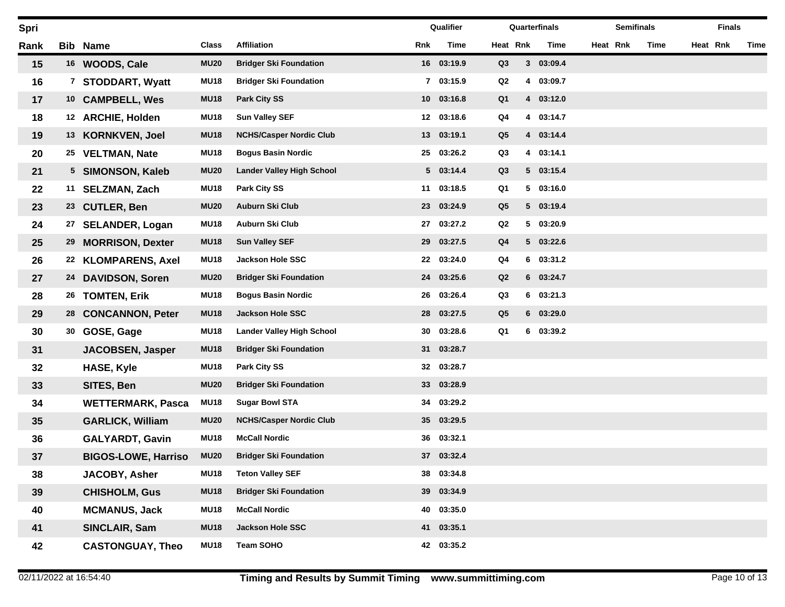| Spri |    |                            |             |                                  |                 | Qualifier  |                |   | Quarterfinals | <b>Semifinals</b> |      | <b>Finals</b> |      |
|------|----|----------------------------|-------------|----------------------------------|-----------------|------------|----------------|---|---------------|-------------------|------|---------------|------|
| Rank |    | <b>Bib Name</b>            | Class       | <b>Affiliation</b>               | Rnk             | Time       | Heat Rnk       |   | Time          | Heat Rnk          | Time | Heat Rnk      | Time |
| 15   |    | 16 WOODS, Cale             | <b>MU20</b> | <b>Bridger Ski Foundation</b>    |                 | 16 03:19.9 | Q3             |   | 3 03:09.4     |                   |      |               |      |
| 16   | 7  | <b>STODDART, Wyatt</b>     | <b>MU18</b> | <b>Bridger Ski Foundation</b>    | $7^{\circ}$     | 03:15.9    | Q2             | 4 | 03:09.7       |                   |      |               |      |
| 17   |    | 10 CAMPBELL, Wes           | <b>MU18</b> | <b>Park City SS</b>              | 10 <sup>°</sup> | 03:16.8    | Q <sub>1</sub> |   | 4 03:12.0     |                   |      |               |      |
| 18   |    | 12 ARCHIE, Holden          | <b>MU18</b> | <b>Sun Valley SEF</b>            | 12              | 03:18.6    | Q4             |   | 4 03:14.7     |                   |      |               |      |
| 19   | 13 | <b>KORNKVEN, Joel</b>      | <b>MU18</b> | <b>NCHS/Casper Nordic Club</b>   | 13              | 03:19.1    | Q <sub>5</sub> |   | 4 03:14.4     |                   |      |               |      |
| 20   | 25 | <b>VELTMAN, Nate</b>       | <b>MU18</b> | <b>Bogus Basin Nordic</b>        | 25              | 03:26.2    | Q3             |   | 4 03:14.1     |                   |      |               |      |
| 21   |    | 5 SIMONSON, Kaleb          | <b>MU20</b> | <b>Lander Valley High School</b> |                 | 5 03:14.4  | Q3             |   | 5 03:15.4     |                   |      |               |      |
| 22   | 11 | <b>SELZMAN, Zach</b>       | <b>MU18</b> | <b>Park City SS</b>              | 11              | 03:18.5    | Q1             |   | 503:16.0      |                   |      |               |      |
| 23   |    | 23 CUTLER, Ben             | <b>MU20</b> | Auburn Ski Club                  | 23              | 03:24.9    | Q <sub>5</sub> |   | 5 03:19.4     |                   |      |               |      |
| 24   | 27 | <b>SELANDER, Logan</b>     | <b>MU18</b> | Auburn Ski Club                  | 27              | 03:27.2    | Q2             |   | 5 03:20.9     |                   |      |               |      |
| 25   | 29 | <b>MORRISON, Dexter</b>    | <b>MU18</b> | <b>Sun Valley SEF</b>            | 29              | 03:27.5    | Q <sub>4</sub> |   | 5 03:22.6     |                   |      |               |      |
| 26   |    | 22 KLOMPARENS, Axel        | <b>MU18</b> | <b>Jackson Hole SSC</b>          | 22              | 03:24.0    | Q4             |   | 6 03:31.2     |                   |      |               |      |
| 27   | 24 | <b>DAVIDSON, Soren</b>     | <b>MU20</b> | <b>Bridger Ski Foundation</b>    | 24              | 03:25.6    | Q2             |   | 6 03:24.7     |                   |      |               |      |
| 28   | 26 | <b>TOMTEN, Erik</b>        | <b>MU18</b> | <b>Bogus Basin Nordic</b>        | 26              | 03:26.4    | Q3             |   | 603:21.3      |                   |      |               |      |
| 29   | 28 | <b>CONCANNON, Peter</b>    | <b>MU18</b> | Jackson Hole SSC                 | 28              | 03:27.5    | Q <sub>5</sub> |   | 6 03:29.0     |                   |      |               |      |
| 30   | 30 | GOSE, Gage                 | <b>MU18</b> | <b>Lander Valley High School</b> | 30              | 03:28.6    | Q1             |   | 6 03:39.2     |                   |      |               |      |
| 31   |    | <b>JACOBSEN, Jasper</b>    | <b>MU18</b> | <b>Bridger Ski Foundation</b>    | 31              | 03:28.7    |                |   |               |                   |      |               |      |
| 32   |    | <b>HASE, Kyle</b>          | <b>MU18</b> | <b>Park City SS</b>              | 32              | 03:28.7    |                |   |               |                   |      |               |      |
| 33   |    | SITES, Ben                 | <b>MU20</b> | <b>Bridger Ski Foundation</b>    | 33              | 03:28.9    |                |   |               |                   |      |               |      |
| 34   |    | <b>WETTERMARK, Pasca</b>   | <b>MU18</b> | <b>Sugar Bowl STA</b>            | 34              | 03:29.2    |                |   |               |                   |      |               |      |
| 35   |    | <b>GARLICK, William</b>    | <b>MU20</b> | <b>NCHS/Casper Nordic Club</b>   | 35              | 03:29.5    |                |   |               |                   |      |               |      |
| 36   |    | <b>GALYARDT, Gavin</b>     | <b>MU18</b> | <b>McCall Nordic</b>             | 36              | 03:32.1    |                |   |               |                   |      |               |      |
| 37   |    | <b>BIGOS-LOWE, Harriso</b> | <b>MU20</b> | <b>Bridger Ski Foundation</b>    |                 | 37 03:32.4 |                |   |               |                   |      |               |      |
| 38   |    | JACOBY, Asher              | <b>MU18</b> | <b>Teton Valley SEF</b>          |                 | 38 03:34.8 |                |   |               |                   |      |               |      |
| 39   |    | <b>CHISHOLM, Gus</b>       | <b>MU18</b> | <b>Bridger Ski Foundation</b>    |                 | 39 03:34.9 |                |   |               |                   |      |               |      |
| 40   |    | <b>MCMANUS, Jack</b>       | <b>MU18</b> | <b>McCall Nordic</b>             | 40              | 03:35.0    |                |   |               |                   |      |               |      |
| 41   |    | SINCLAIR, Sam              | <b>MU18</b> | Jackson Hole SSC                 |                 | 41 03:35.1 |                |   |               |                   |      |               |      |
| 42   |    | <b>CASTONGUAY, Theo</b>    | <b>MU18</b> | <b>Team SOHO</b>                 |                 | 42 03:35.2 |                |   |               |                   |      |               |      |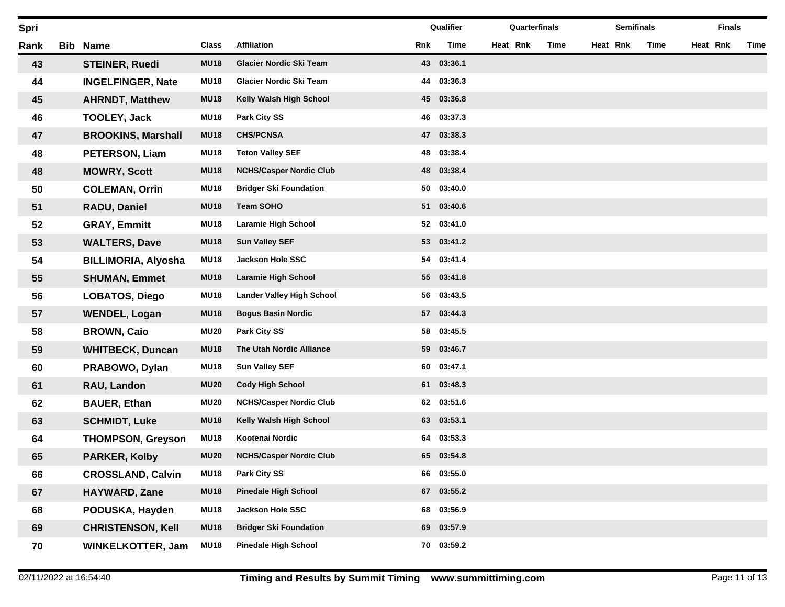| Spri |            |                            |             |                                  |     | Qualifier  | Quarterfinals |      |          | <b>Semifinals</b> |      |          | <b>Finals</b> |      |
|------|------------|----------------------------|-------------|----------------------------------|-----|------------|---------------|------|----------|-------------------|------|----------|---------------|------|
| Rank | <b>Bib</b> | <b>Name</b>                | Class       | <b>Affiliation</b>               | Rnk | Time       | Heat Rnk      | Time | Heat Rnk |                   | Time | Heat Rnk |               | Time |
| 43   |            | <b>STEINER, Ruedi</b>      | <b>MU18</b> | Glacier Nordic Ski Team          |     | 43 03:36.1 |               |      |          |                   |      |          |               |      |
| 44   |            | <b>INGELFINGER, Nate</b>   | <b>MU18</b> | Glacier Nordic Ski Team          | 44  | 03:36.3    |               |      |          |                   |      |          |               |      |
| 45   |            | <b>AHRNDT, Matthew</b>     | <b>MU18</b> | Kelly Walsh High School          | 45  | 03:36.8    |               |      |          |                   |      |          |               |      |
| 46   |            | <b>TOOLEY, Jack</b>        | <b>MU18</b> | <b>Park City SS</b>              | 46  | 03:37.3    |               |      |          |                   |      |          |               |      |
| 47   |            | <b>BROOKINS, Marshall</b>  | <b>MU18</b> | <b>CHS/PCNSA</b>                 | 47  | 03:38.3    |               |      |          |                   |      |          |               |      |
| 48   |            | <b>PETERSON, Liam</b>      | <b>MU18</b> | <b>Teton Valley SEF</b>          | 48  | 03:38.4    |               |      |          |                   |      |          |               |      |
| 48   |            | <b>MOWRY, Scott</b>        | <b>MU18</b> | <b>NCHS/Casper Nordic Club</b>   | 48  | 03:38.4    |               |      |          |                   |      |          |               |      |
| 50   |            | <b>COLEMAN, Orrin</b>      | <b>MU18</b> | <b>Bridger Ski Foundation</b>    | 50  | 03:40.0    |               |      |          |                   |      |          |               |      |
| 51   |            | RADU, Daniel               | <b>MU18</b> | <b>Team SOHO</b>                 | 51  | 03:40.6    |               |      |          |                   |      |          |               |      |
| 52   |            | <b>GRAY, Emmitt</b>        | <b>MU18</b> | <b>Laramie High School</b>       | 52  | 03:41.0    |               |      |          |                   |      |          |               |      |
| 53   |            | <b>WALTERS, Dave</b>       | <b>MU18</b> | <b>Sun Valley SEF</b>            | 53  | 03:41.2    |               |      |          |                   |      |          |               |      |
| 54   |            | <b>BILLIMORIA, Alyosha</b> | <b>MU18</b> | <b>Jackson Hole SSC</b>          | 54  | 03:41.4    |               |      |          |                   |      |          |               |      |
| 55   |            | <b>SHUMAN, Emmet</b>       | <b>MU18</b> | <b>Laramie High School</b>       | 55  | 03:41.8    |               |      |          |                   |      |          |               |      |
| 56   |            | <b>LOBATOS, Diego</b>      | <b>MU18</b> | <b>Lander Valley High School</b> | 56  | 03:43.5    |               |      |          |                   |      |          |               |      |
| 57   |            | <b>WENDEL, Logan</b>       | <b>MU18</b> | <b>Bogus Basin Nordic</b>        | 57  | 03:44.3    |               |      |          |                   |      |          |               |      |
| 58   |            | <b>BROWN, Caio</b>         | <b>MU20</b> | <b>Park City SS</b>              | 58  | 03:45.5    |               |      |          |                   |      |          |               |      |
| 59   |            | <b>WHITBECK, Duncan</b>    | <b>MU18</b> | The Utah Nordic Alliance         | 59  | 03:46.7    |               |      |          |                   |      |          |               |      |
| 60   |            | PRABOWO, Dylan             | <b>MU18</b> | <b>Sun Valley SEF</b>            | 60  | 03:47.1    |               |      |          |                   |      |          |               |      |
| 61   |            | RAU, Landon                | <b>MU20</b> | <b>Cody High School</b>          | 61  | 03:48.3    |               |      |          |                   |      |          |               |      |
| 62   |            | <b>BAUER, Ethan</b>        | <b>MU20</b> | <b>NCHS/Casper Nordic Club</b>   | 62  | 03:51.6    |               |      |          |                   |      |          |               |      |
| 63   |            | <b>SCHMIDT, Luke</b>       | <b>MU18</b> | Kelly Walsh High School          | 63  | 03:53.1    |               |      |          |                   |      |          |               |      |
| 64   |            | <b>THOMPSON, Greyson</b>   | <b>MU18</b> | Kootenai Nordic                  | 64  | 03:53.3    |               |      |          |                   |      |          |               |      |
| 65   |            | <b>PARKER, Kolby</b>       | <b>MU20</b> | <b>NCHS/Casper Nordic Club</b>   | 65  | 03:54.8    |               |      |          |                   |      |          |               |      |
| 66   |            | <b>CROSSLAND, Calvin</b>   | <b>MU18</b> | Park City SS                     | 66  | 03:55.0    |               |      |          |                   |      |          |               |      |
| 67   |            | HAYWARD, Zane              | <b>MU18</b> | <b>Pinedale High School</b>      | 67  | 03:55.2    |               |      |          |                   |      |          |               |      |
| 68   |            | PODUSKA, Hayden            | <b>MU18</b> | Jackson Hole SSC                 | 68  | 03:56.9    |               |      |          |                   |      |          |               |      |
| 69   |            | <b>CHRISTENSON, Kell</b>   | <b>MU18</b> | <b>Bridger Ski Foundation</b>    | 69  | 03:57.9    |               |      |          |                   |      |          |               |      |
| 70   |            | <b>WINKELKOTTER, Jam</b>   | <b>MU18</b> | <b>Pinedale High School</b>      |     | 70 03:59.2 |               |      |          |                   |      |          |               |      |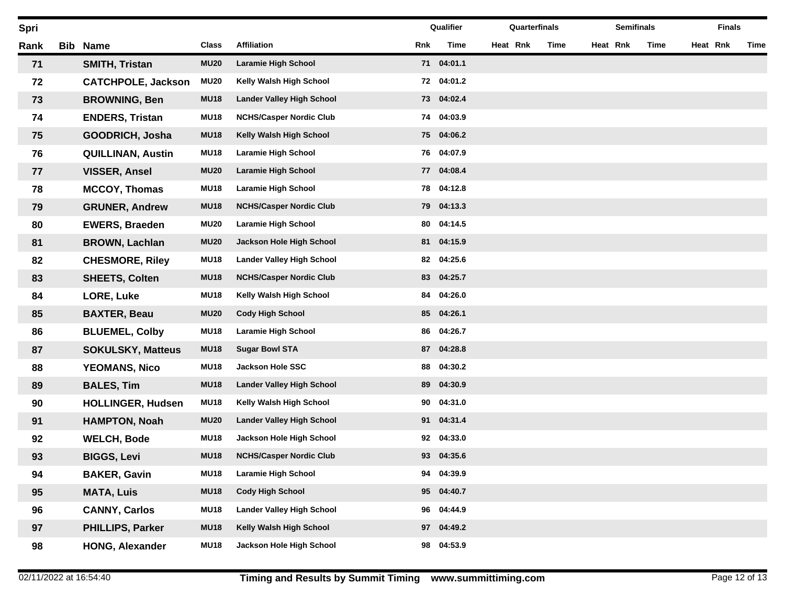| Spri |            |                           |             |                                  |     | Qualifier  | Quarterfinals |      |          | <b>Semifinals</b> |      |          | <b>Finals</b> |      |
|------|------------|---------------------------|-------------|----------------------------------|-----|------------|---------------|------|----------|-------------------|------|----------|---------------|------|
| Rank | <b>Bib</b> | <b>Name</b>               | Class       | <b>Affiliation</b>               | Rnk | Time       | Heat Rnk      | Time | Heat Rnk |                   | Time | Heat Rnk |               | Time |
| 71   |            | <b>SMITH, Tristan</b>     | <b>MU20</b> | <b>Laramie High School</b>       |     | 71 04:01.1 |               |      |          |                   |      |          |               |      |
| 72   |            | <b>CATCHPOLE, Jackson</b> | <b>MU20</b> | Kelly Walsh High School          | 72  | 04:01.2    |               |      |          |                   |      |          |               |      |
| 73   |            | <b>BROWNING, Ben</b>      | <b>MU18</b> | <b>Lander Valley High School</b> | 73  | 04:02.4    |               |      |          |                   |      |          |               |      |
| 74   |            | <b>ENDERS, Tristan</b>    | <b>MU18</b> | <b>NCHS/Casper Nordic Club</b>   | 74  | 04:03.9    |               |      |          |                   |      |          |               |      |
| 75   |            | GOODRICH, Josha           | <b>MU18</b> | Kelly Walsh High School          | 75  | 04:06.2    |               |      |          |                   |      |          |               |      |
| 76   |            | <b>QUILLINAN, Austin</b>  | <b>MU18</b> | <b>Laramie High School</b>       | 76  | 04:07.9    |               |      |          |                   |      |          |               |      |
| 77   |            | <b>VISSER, Ansel</b>      | <b>MU20</b> | <b>Laramie High School</b>       | 77  | 04:08.4    |               |      |          |                   |      |          |               |      |
| 78   |            | <b>MCCOY, Thomas</b>      | <b>MU18</b> | <b>Laramie High School</b>       | 78  | 04:12.8    |               |      |          |                   |      |          |               |      |
| 79   |            | <b>GRUNER, Andrew</b>     | <b>MU18</b> | <b>NCHS/Casper Nordic Club</b>   | 79  | 04:13.3    |               |      |          |                   |      |          |               |      |
| 80   |            | <b>EWERS, Braeden</b>     | <b>MU20</b> | <b>Laramie High School</b>       | 80  | 04:14.5    |               |      |          |                   |      |          |               |      |
| 81   |            | <b>BROWN, Lachlan</b>     | <b>MU20</b> | Jackson Hole High School         | 81  | 04:15.9    |               |      |          |                   |      |          |               |      |
| 82   |            | <b>CHESMORE, Riley</b>    | <b>MU18</b> | <b>Lander Valley High School</b> | 82  | 04:25.6    |               |      |          |                   |      |          |               |      |
| 83   |            | <b>SHEETS, Colten</b>     | <b>MU18</b> | <b>NCHS/Casper Nordic Club</b>   | 83  | 04:25.7    |               |      |          |                   |      |          |               |      |
| 84   |            | LORE, Luke                | <b>MU18</b> | Kelly Walsh High School          | 84  | 04:26.0    |               |      |          |                   |      |          |               |      |
| 85   |            | <b>BAXTER, Beau</b>       | <b>MU20</b> | <b>Cody High School</b>          | 85  | 04:26.1    |               |      |          |                   |      |          |               |      |
| 86   |            | <b>BLUEMEL, Colby</b>     | <b>MU18</b> | <b>Laramie High School</b>       | 86  | 04:26.7    |               |      |          |                   |      |          |               |      |
| 87   |            | <b>SOKULSKY, Matteus</b>  | <b>MU18</b> | <b>Sugar Bowl STA</b>            | 87  | 04:28.8    |               |      |          |                   |      |          |               |      |
| 88   |            | <b>YEOMANS, Nico</b>      | <b>MU18</b> | <b>Jackson Hole SSC</b>          | 88  | 04:30.2    |               |      |          |                   |      |          |               |      |
| 89   |            | <b>BALES, Tim</b>         | <b>MU18</b> | <b>Lander Valley High School</b> | 89  | 04:30.9    |               |      |          |                   |      |          |               |      |
| 90   |            | <b>HOLLINGER, Hudsen</b>  | <b>MU18</b> | Kelly Walsh High School          | 90  | 04:31.0    |               |      |          |                   |      |          |               |      |
| 91   |            | <b>HAMPTON, Noah</b>      | <b>MU20</b> | <b>Lander Valley High School</b> | 91  | 04:31.4    |               |      |          |                   |      |          |               |      |
| 92   |            | <b>WELCH, Bode</b>        | <b>MU18</b> | Jackson Hole High School         | 92  | 04:33.0    |               |      |          |                   |      |          |               |      |
| 93   |            | <b>BIGGS, Levi</b>        | <b>MU18</b> | <b>NCHS/Casper Nordic Club</b>   | 93  | 04:35.6    |               |      |          |                   |      |          |               |      |
| 94   |            | <b>BAKER, Gavin</b>       | <b>MU18</b> | <b>Laramie High School</b>       | 94  | 04:39.9    |               |      |          |                   |      |          |               |      |
| 95   |            | <b>MATA, Luis</b>         | <b>MU18</b> | <b>Cody High School</b>          | 95  | 04:40.7    |               |      |          |                   |      |          |               |      |
| 96   |            | <b>CANNY, Carlos</b>      | <b>MU18</b> | <b>Lander Valley High School</b> | 96  | 04:44.9    |               |      |          |                   |      |          |               |      |
| 97   |            | PHILLIPS, Parker          | <b>MU18</b> | Kelly Walsh High School          | 97  | 04:49.2    |               |      |          |                   |      |          |               |      |
| 98   |            | <b>HONG, Alexander</b>    | <b>MU18</b> | Jackson Hole High School         | 98  | 04:53.9    |               |      |          |                   |      |          |               |      |